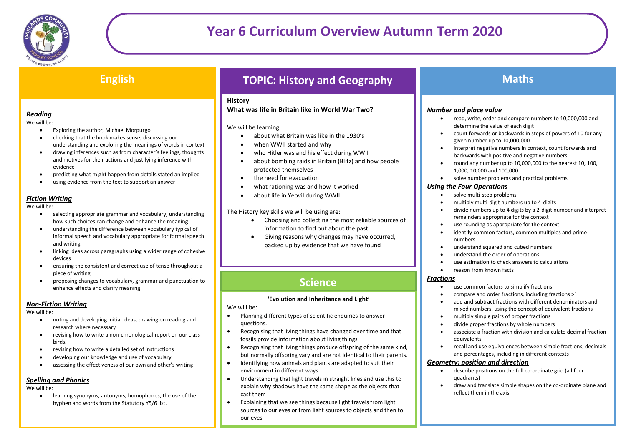

## **English**

### *Reading*

We will be:

- Exploring the author, Michael Morpurgo
- checking that the book makes sense, discussing our understanding and exploring the meanings of words in context
- drawing inferences such as from character's feelings, thoughts and motives for their actions and justifying inference with evidence
- predicting what might happen from details stated an implied
- using evidence from the text to support an answer

#### *Fiction Writing*

#### We will be:

- selecting appropriate grammar and vocabulary, understanding how such choices can change and enhance the meaning
- understanding the difference between vocabulary typical of informal speech and vocabulary appropriate for formal speech and writing
- linking ideas across paragraphs using a wider range of cohesive devices
- ensuring the consistent and correct use of tense throughout a piece of writing
- proposing changes to vocabulary, grammar and punctuation to enhance effects and clarify meaning

#### *Non-Fiction Writing*

We will be:

- noting and developing initial ideas, drawing on reading and research where necessary
- revising how to write a non-chronological report on our class birds.
- revising how to write a detailed set of instructions
- developing our knowledge and use of vocabulary
- assessing the effectiveness of our own and other's writing

### *Spelling and Phonics*

We will be:

 learning synonyms, antonyms, homophones, the use of the hyphen and words from the Statutory Y5/6 list.

# **TOPIC: History and Geography**

### **History**

#### **What was life in Britain like in World War Two?**

#### We will be learning:

- about what Britain was like in the 1930's
- when WWII started and why
- who Hitler was and his effect during WWII
- about bombing raids in Britain (Blitz) and how people protected themselves
- the need for evacuation
- what rationing was and how it worked
- about life in Yeovil during WWII

#### The History key skills we will be using are:

- Choosing and collecting the most reliable sources of information to find out about the past
- Giving reasons why changes may have occurred, backed up by evidence that we have found

## **Science**

#### **'Evolution and Inheritance and Light'**

#### We will be:

- Planning different types of scientific enquiries to answer questions.
- Recognising that living things have changed over time and that fossils provide information about living things
- Recognising that living things produce offspring of the same kind, but normally offspring vary and are not identical to their parents.
- Identifying how animals and plants are adapted to suit their environment in different ways
- Understanding that light travels in straight lines and use this to explain why shadows have the same shape as the objects that cast them
- Explaining that we see things because light travels from light sources to our eyes or from light sources to objects and then to our eyes

## **Maths**

#### *Number and place value*

- read, write, order and compare numbers to 10,000,000 and determine the value of each digit
- count forwards or backwards in steps of powers of 10 for any given number up to 10,000,000
- interpret negative numbers in context, count forwards and backwards with positive and negative numbers
- round any number up to 10,000,000 to the nearest 10, 100, 1,000, 10,000 and 100,000
- solve number problems and practical problems

#### *Using the Four Operations*

- solve multi-step problems
- multiply multi-digit numbers up to 4-digits
- divide numbers up to 4 digits by a 2-digit number and interpret remainders appropriate for the context
- use rounding as appropriate for the context
- identify common factors, common multiples and prime numbers
- understand squared and cubed numbers
- understand the order of operations
- use estimation to check answers to calculations
- reason from known facts

#### *Fractions*

- use common factors to simplify fractions
- compare and order fractions, including fractions >1
- add and subtract fractions with different denominators and mixed numbers, using the concept of equivalent fractions
- multiply simple pairs of proper fractions
- divide proper fractions by whole numbers
- associate a fraction with division and calculate decimal fraction equivalents
- recall and use equivalences between simple fractions, decimals and percentages, including in different contexts

#### *Geometry: position and direction*

- describe positions on the full co-ordinate grid (all four quadrants)
- draw and translate simple shapes on the co-ordinate plane and reflect them in the axis